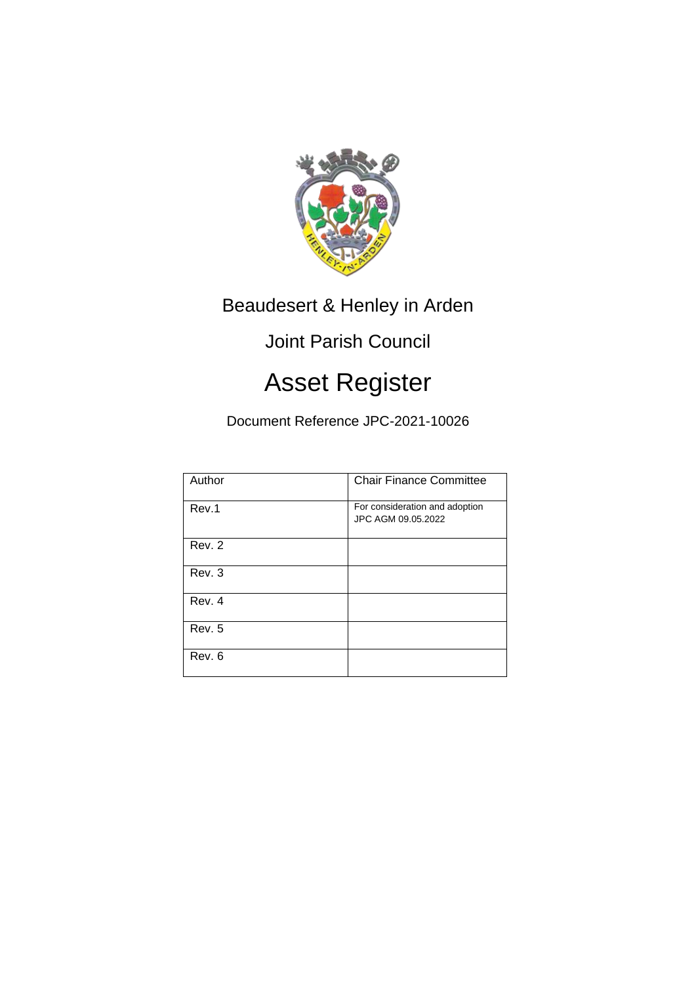

Beaudesert & Henley in Arden

## Joint Parish Council

## Asset Register

Document Reference JPC-2021-10026

| Author | <b>Chair Finance Committee</b>                       |
|--------|------------------------------------------------------|
| Rev.1  | For consideration and adoption<br>JPC AGM 09.05.2022 |
| Rev. 2 |                                                      |
| Rev. 3 |                                                      |
| Rev. 4 |                                                      |
| Rev. 5 |                                                      |
| Rev. 6 |                                                      |